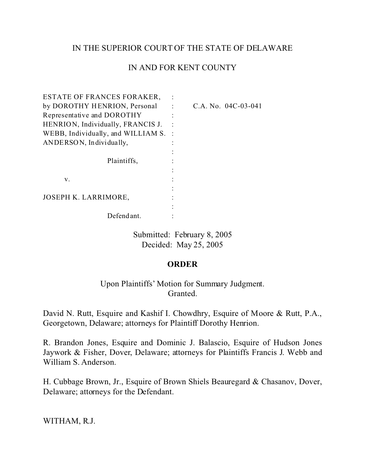## IN THE SUPERIOR COURT OF THE STATE OF DELAWARE

## IN AND FOR KENT COUNTY

| ESTATE OF FRANCES FORAKER,         |                       |
|------------------------------------|-----------------------|
| by DOROTHY HENRION, Personal       | C.A. No. $04C-03-041$ |
| Representative and DOROTHY         |                       |
| HENRION, Individually, FRANCIS J.  |                       |
| WEBB, Individually, and WILLIAM S. |                       |
| ANDERSON, Individually,            |                       |
|                                    |                       |
| Plaintiffs,                        |                       |
|                                    |                       |
| V.                                 |                       |
|                                    |                       |
| JOSEPH K. LARRIMORE,               |                       |
|                                    |                       |
| Defendant.                         |                       |

Submitted: February 8, 2005 Decided: May 25, 2005

## **ORDER**

Upon Plaintiffs' Motion for Summary Judgment. Granted.

David N. Rutt, Esquire and Kashif I. Chowdhry, Esquire of Moore & Rutt, P.A., Georgetown, Delaware; attorneys for Plaintiff Dorothy Henrion.

R. Brandon Jones, Esquire and Dominic J. Balascio, Esquire of Hudson Jones Jaywork & Fisher, Dover, Delaware; attorneys for Plaintiffs Francis J. Webb and William S. Anderson.

H. Cubbage Brown, Jr., Esquire of Brown Shiels Beauregard & Chasanov, Dover, Delaware; attorneys for the Defendant.

WITHAM, R.J.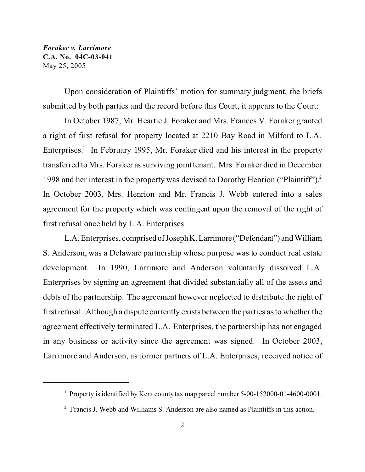Upon consideration of Plaintiffs' motion for summary judgment, the briefs submitted by both parties and the record before this Court, it appears to the Court:

In October 1987, Mr. Heartie J. Foraker and Mrs. Frances V. Foraker granted a right of first refusal for property located at 2210 Bay Road in Milford to L.A. Enterprises.<sup>1</sup> In February 1995, Mr. Foraker died and his interest in the property transferred to Mrs. Foraker as surviving joint tenant. Mrs. Foraker died in December 1998 and her interest in the property was devised to Dorothy Henrion ("Plaintiff").<sup>2</sup> In October 2003, Mrs. Henrion and Mr. Francis J. Webb entered into a sales agreement for the property which was contingent upon the removal of the right of first refusal once held by L.A. Enterprises.

L.A. Enterprises, comprised ofJosephK.Larrimore("Defendant") and William S. Anderson, was a Delaware partnership whose purpose was to conduct real estate development. In 1990, Larrimore and Anderson voluntarily dissolved L.A. Enterprises by signing an agreement that divided substantially all of the assets and debts of the partnership. The agreement however neglected to distribute the right of first refusal. Although a dispute currently exists between the parties as to whether the agreement effectively terminated L.A. Enterprises, the partnership has not engaged in any business or activity since the agreement was signed. In October 2003, Larrimore and Anderson, as former partners of L.A. Enterprises, received notice of

<sup>&</sup>lt;sup>1</sup> Property is identified by Kent county tax map parcel number 5-00-152000-01-4600-0001.

<sup>&</sup>lt;sup>2</sup> Francis J. Webb and Williams S. Anderson are also named as Plaintiffs in this action.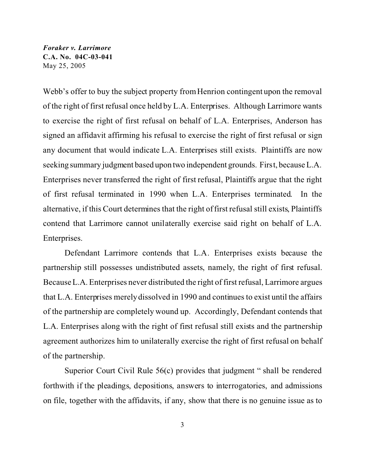Webb's offer to buy the subject property from Henrion contingent upon the removal of the right of first refusal once held by L.A. Enterprises. Although Larrimore wants to exercise the right of first refusal on behalf of L.A. Enterprises, Anderson has signed an affidavit affirming his refusal to exercise the right of first refusal or sign any document that would indicate L.A. Enterprises still exists. Plaintiffs are now seeking summary judgment based upon two independent grounds. First, because L.A. Enterprises never transferred the right of first refusal, Plaintiffs argue that the right of first refusal terminated in 1990 when L.A. Enterprises terminated. In the alternative, if this Court determines that the right of first refusal still exists, Plaintiffs contend that Larrimore cannot unilaterally exercise said right on behalf of L.A. Enterprises.

Defendant Larrimore contends that L.A. Enterprises exists because the partnership still possesses undistributed assets, namely, the right of first refusal. Because L.A. Enterprises never distributed the right of first refusal, Larrimore argues that L.A. Enterprises merely dissolved in 1990 and continues to exist until the affairs of the partnership are completely wound up. Accordingly, Defendant contends that L.A. Enterprises along with the right of first refusal still exists and the partnership agreement authorizes him to unilaterally exercise the right of first refusal on behalf of the partnership.

Superior Court Civil Rule 56(c) provides that judgment " shall be rendered forthwith if the pleadings, depositions, answers to interrogatories, and admissions on file, together with the affidavits, if any, show that there is no genuine issue as to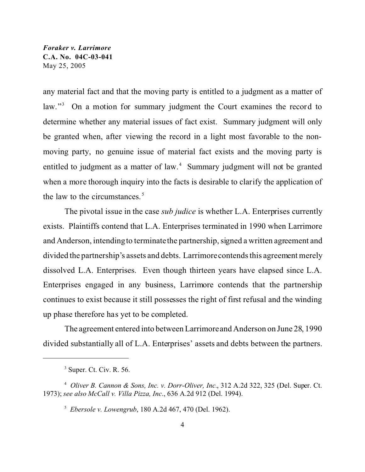any material fact and that the moving party is entitled to a judgment as a matter of law."<sup>3</sup> On a motion for summary judgment the Court examines the record to determine whether any material issues of fact exist. Summary judgment will only be granted when, after viewing the record in a light most favorable to the nonmoving party, no genuine issue of material fact exists and the moving party is entitled to judgment as a matter of law.<sup>4</sup> Summary judgment will not be granted when a more thorough inquiry into the facts is desirable to clarify the application of the law to the circumstances.<sup>5</sup>

The pivotal issue in the case *sub judice* is whether L.A. Enterprises currently exists. Plaintiffs contend that L.A. Enterprises terminated in 1990 when Larrimore and Anderson, intending to terminate the partnership, signed a written agreement and divided the partnership's assets and debts. Larrimore contends this agreement merely dissolved L.A. Enterprises. Even though thirteen years have elapsed since L.A. Enterprises engaged in any business, Larrimore contends that the partnership continues to exist because it still possesses the right of first refusal and the winding up phase therefore has yet to be completed.

The agreement entered into between Larrimore and Anderson on June 28, 1990 divided substantially all of L.A. Enterprises' assets and debts between the partners.

 $3$  Super. Ct. Civ. R. 56.

<sup>4</sup> *Oliver B. Cannon & Sons, Inc. v. Dorr-Oliver, Inc.*, 312 A.2d 322, 325 (Del. Super. Ct. 1973); *see also McCall v. Villa Pizza, Inc*., 636 A.2d 912 (Del. 1994).

<sup>5</sup>  *Ebersole v. Lowengrub*, 180 A.2d 467, 470 (Del. 1962).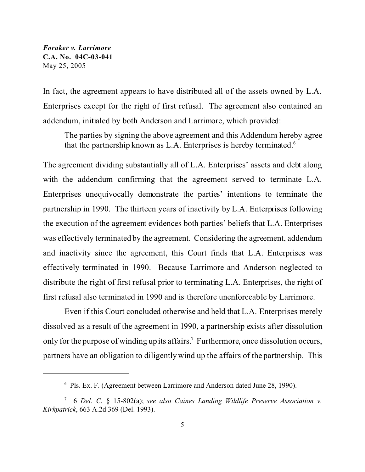In fact, the agreement appears to have distributed all of the assets owned by L.A. Enterprises except for the right of first refusal. The agreement also contained an addendum, initialed by both Anderson and Larrimore, which provided:

The parties by signing the above agreement and this Addendum hereby agree that the partnership known as L.A. Enterprises is hereby terminated.<sup>6</sup>

The agreement dividing substantially all of L.A. Enterprises' assets and debt along with the addendum confirming that the agreement served to terminate L.A. Enterprises unequivocally demonstrate the parties' intentions to terminate the partnership in 1990. The thirteen years of inactivity by L.A. Enterprises following the execution of the agreement evidences both parties' beliefs that L.A. Enterprises was effectively terminated by the agreement. Considering the agreement, addendum and inactivity since the agreement, this Court finds that L.A. Enterprises was effectively terminated in 1990. Because Larrimore and Anderson neglected to distribute the right of first refusal prior to terminating L.A. Enterprises, the right of first refusal also terminated in 1990 and is therefore unenforceable by Larrimore.

Even if this Court concluded otherwise and held that L.A. Enterprises merely dissolved as a result of the agreement in 1990, a partnership exists after dissolution only for the purpose of winding up its affairs.<sup>7</sup> Furthermore, once dissolution occurs, partners have an obligation to diligently wind up the affairs of the partnership. This

<sup>6</sup> Pls. Ex. F. (Agreement between Larrimore and Anderson dated June 28, 1990).

<sup>7</sup> 6 *Del. C.* § 15-802(a); *see also Caines Landing Wildlife Preserve Association v. Kirkpatrick*, 663 A.2d 369 (Del. 1993).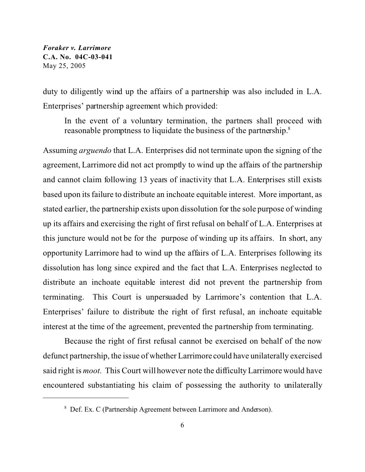duty to diligently wind up the affairs of a partnership was also included in L.A. Enterprises' partnership agreement which provided:

In the event of a voluntary termination, the partners shall proceed with reasonable promptness to liquidate the business of the partnership.<sup>8</sup>

Assuming *arguendo* that L.A. Enterprises did not terminate upon the signing of the agreement, Larrimore did not act promptly to wind up the affairs of the partnership and cannot claim following 13 years of inactivity that L.A. Enterprises still exists based upon its failure to distribute an inchoate equitable interest. More important, as stated earlier, the partnership exists upon dissolution for the sole purpose of winding up its affairs and exercising the right of first refusal on behalf of L.A. Enterprises at this juncture would not be for the purpose of winding up its affairs. In short, any opportunity Larrimore had to wind up the affairs of L.A. Enterprises following its dissolution has long since expired and the fact that L.A. Enterprises neglected to distribute an inchoate equitable interest did not prevent the partnership from terminating. This Court is unpersuaded by Larrimore's contention that L.A. Enterprises' failure to distribute the right of first refusal, an inchoate equitable interest at the time of the agreement, prevented the partnership from terminating.

Because the right of first refusal cannot be exercised on behalf of the now defunct partnership, the issue of whether Larrimore could have unilaterally exercised said right is *moot*. This Court will however note the difficulty Larrimore would have encountered substantiating his claim of possessing the authority to unilaterally

<sup>&</sup>lt;sup>8</sup> Def. Ex. C (Partnership Agreement between Larrimore and Anderson).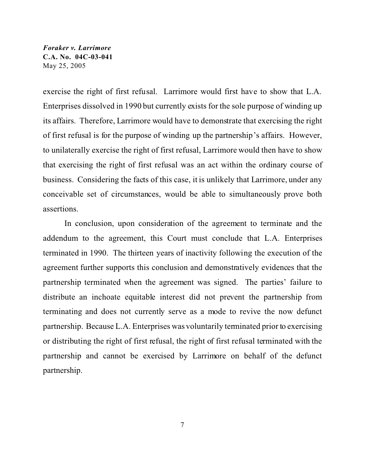exercise the right of first refusal. Larrimore would first have to show that L.A. Enterprises dissolved in 1990 but currently exists for the sole purpose of winding up its affairs. Therefore, Larrimore would have to demonstrate that exercising the right of first refusal is for the purpose of winding up the partnership's affairs. However, to unilaterally exercise the right of first refusal, Larrimore would then have to show that exercising the right of first refusal was an act within the ordinary course of business. Considering the facts of this case, it is unlikely that Larrimore, under any conceivable set of circumstances, would be able to simultaneously prove both assertions.

In conclusion, upon consideration of the agreement to terminate and the addendum to the agreement, this Court must conclude that L.A. Enterprises terminated in 1990. The thirteen years of inactivity following the execution of the agreement further supports this conclusion and demonstratively evidences that the partnership terminated when the agreement was signed. The parties' failure to distribute an inchoate equitable interest did not prevent the partnership from terminating and does not currently serve as a mode to revive the now defunct partnership. Because L.A. Enterprises was voluntarily terminated prior to exercising or distributing the right of first refusal, the right of first refusal terminated with the partnership and cannot be exercised by Larrimore on behalf of the defunct partnership.